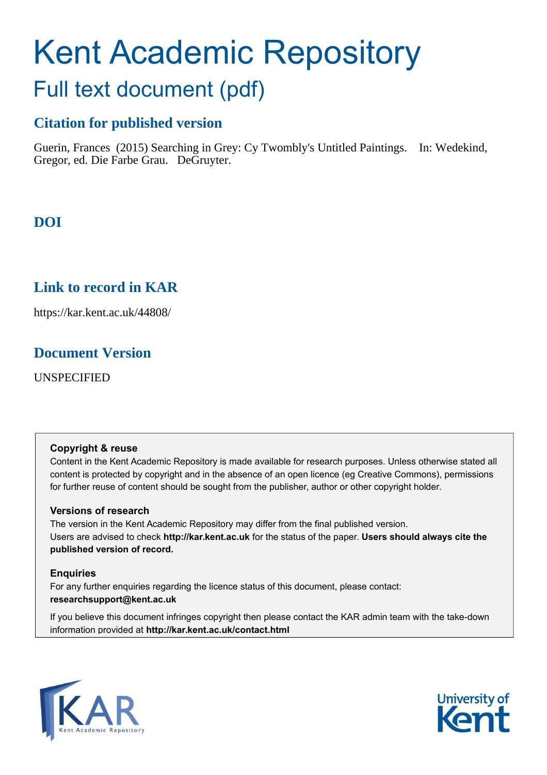# Kent Academic Repository Full text document (pdf)

## **Citation for published version**

Guerin, Frances (2015) Searching in Grey: Cy Twombly's Untitled Paintings. In: Wedekind, Gregor, ed. Die Farbe Grau. DeGruyter.

# **DOI**

## **Link to record in KAR**

https://kar.kent.ac.uk/44808/

## **Document Version**

UNSPECIFIED

#### **Copyright & reuse**

Content in the Kent Academic Repository is made available for research purposes. Unless otherwise stated all content is protected by copyright and in the absence of an open licence (eg Creative Commons), permissions for further reuse of content should be sought from the publisher, author or other copyright holder.

### **Versions of research**

The version in the Kent Academic Repository may differ from the final published version. Users are advised to check **http://kar.kent.ac.uk** for the status of the paper. **Users should always cite the published version of record.**

### **Enquiries**

For any further enquiries regarding the licence status of this document, please contact: **researchsupport@kent.ac.uk**

If you believe this document infringes copyright then please contact the KAR admin team with the take-down information provided at **http://kar.kent.ac.uk/contact.html**



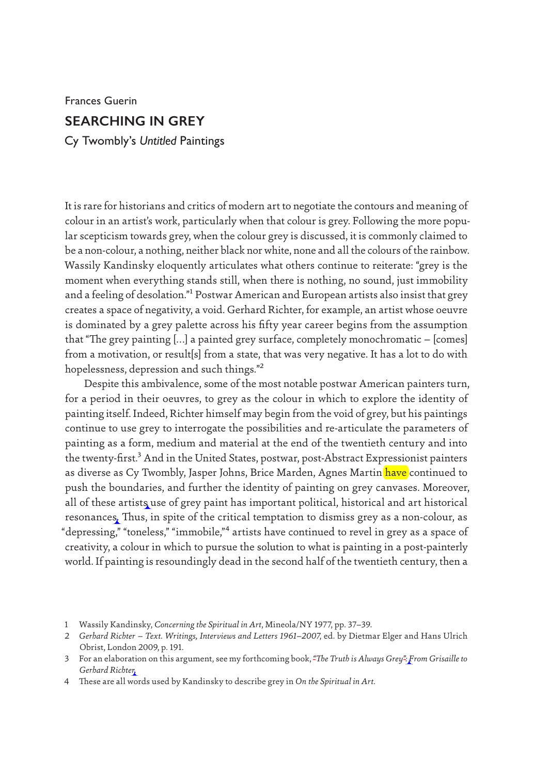## Frances Guerin **SEARCHING IN GREY** Cy Twombly's *Untitled* Paintings

It is rare for historians and critics of modern art to negotiate the contours and meaning of colour in an artist's work, particularly when that colour is grey. Following the more popular scepticism towards grey, when the colour grey is discussed, it is commonly claimed to be a non-colour, a nothing, neither black nor white, none and all the colours of the rainbow. Wassily Kandinsky eloquently articulates what others continue to reiterate: "grey is the moment when everything stands still, when there is nothing, no sound, just immobility and a feeling of desolation."1 Postwar American and European artists also insist that grey creates a space of negativity, a void. Gerhard Richter, for example, an artist whose oeuvre is dominated by a grey palette across his fifty year career begins from the assumption that "The grey painting […] a painted grey surface, completely monochromatic – [comes] from a motivation, or result[s] from a state, that was very negative. It has a lot to do with hopelessness, depression and such things*.*"2

Despite this ambivalence, some of the most notable postwar American painters turn, for a period in their oeuvres, to grey as the colour in which to explore the identity of painting itself. Indeed, Richter himself may begin from the void of grey, but his paintings continue to use grey to interrogate the possibilities and re-articulate the parameters of painting as a form, medium and material at the end of the twentieth century and into the twenty-first.3 And in the United States, postwar, post-Abstract Expressionist painters as diverse as Cy Twombly, Jasper Johns, Brice Marden, Agnes Martin have continued to push the boundaries, and further the identity of painting on grey canvases. Moreover, all of these artists use of grey paint has important political, historical and art historical resonances. Thus, in spite of the critical temptation to dismiss grey as a non-colour, as "depressing," "toneless," "immobile,"4 artists have continued to revel in grey as a space of creativity, a colour in which to pursue the solution to what is painting in a post-painterly world. If painting is resoundingly dead in the second half of the twentieth century, then a

<sup>1</sup> Wassily Kandinsky, *Concerning the Spiritual in Art*, Mineola/NY 1977, pp. 37–39.

<sup>2</sup> *Gerhard Richter – Text. Writings, Interviews and Letters 1961–2007*, ed. by Dietmar Elger and Hans Ulrich Obrist, London 2009, p. 191.

<sup>3</sup> For an elaboration on this argument, see my forthcoming book, *"The Truth is Always Grey": From Grisaille to Gerhard Richter.*

<sup>4</sup> These are all words used by Kandinsky to describe grey in *On the Spiritual in Art*.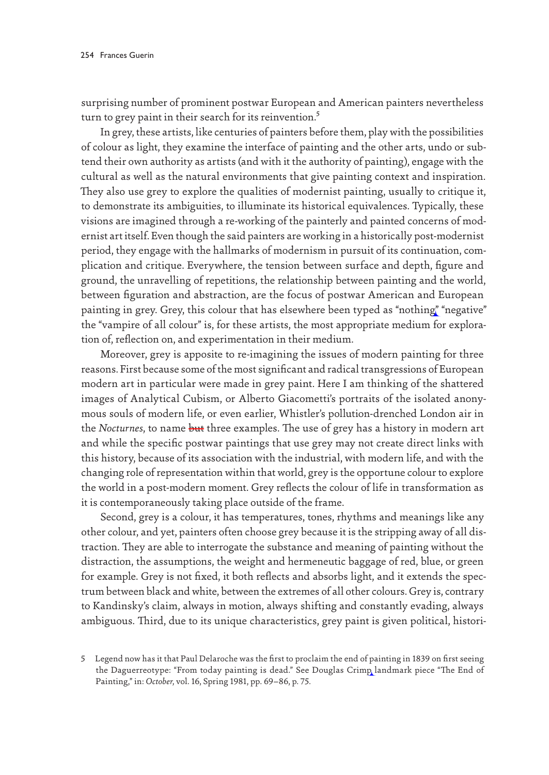surprising number of prominent postwar European and American painters nevertheless turn to grey paint in their search for its reinvention.<sup>5</sup>

In grey, these artists, like centuries of painters before them, play with the possibilities of colour as light, they examine the interface of painting and the other arts, undo or subtend their own authority as artists (and with it the authority of painting), engage with the cultural as well as the natural environments that give painting context and inspiration. They also use grey to explore the qualities of modernist painting, usually to critique it, to demonstrate its ambiguities, to illuminate its historical equivalences. Typically, these visions are imagined through a re-working of the painterly and painted concerns of modernist art itself. Even though the said painters are working in a historically post-modernist period, they engage with the hallmarks of modernism in pursuit of its continuation, complication and critique. Everywhere, the tension between surface and depth, figure and ground, the unravelling of repetitions, the relationship between painting and the world, between figuration and abstraction, are the focus of postwar American and European painting in grey. Grey, this colour that has elsewhere been typed as "nothing" "negative" the "vampire of all colour" is, for these artists, the most appropriate medium for exploration of, reflection on, and experimentation in their medium.

Moreover, grey is apposite to re-imagining the issues of modern painting for three reasons. First because some of the most significant and radical transgressions of European modern art in particular were made in grey paint. Here I am thinking of the shattered images of Analytical Cubism, or Alberto Giacometti's portraits of the isolated anonymous souls of modern life, or even earlier, Whistler's pollution-drenched London air in the *Nocturnes*, to name but three examples. The use of grey has a history in modern art and while the specific postwar paintings that use grey may not create direct links with this history, because of its association with the industrial, with modern life, and with the changing role of representation within that world, grey is the opportune colour to explore the world in a post-modern moment. Grey reflects the colour of life in transformation as it is contemporaneously taking place outside of the frame.

Second, grey is a colour, it has temperatures, tones, rhythms and meanings like any other colour, and yet, painters often choose grey because it is the stripping away of all distraction. They are able to interrogate the substance and meaning of painting without the distraction, the assumptions, the weight and hermeneutic baggage of red, blue, or green for example. Grey is not fixed, it both reflects and absorbs light, and it extends the spectrum between black and white, between the extremes of all other colours. Grey is, contrary to Kandinsky's claim, always in motion, always shifting and constantly evading, always ambiguous. Third, due to its unique characteristics, grey paint is given political, histori-

<sup>5</sup> Legend now has it that Paul Delaroche was the first to proclaim the end of painting in 1839 on first seeing the Daguerreotype: "From today painting is dead." See Douglas Crimp landmark piece "The End of Painting," in: *October*, vol. 16, Spring 1981, pp. 69–86, p. 75.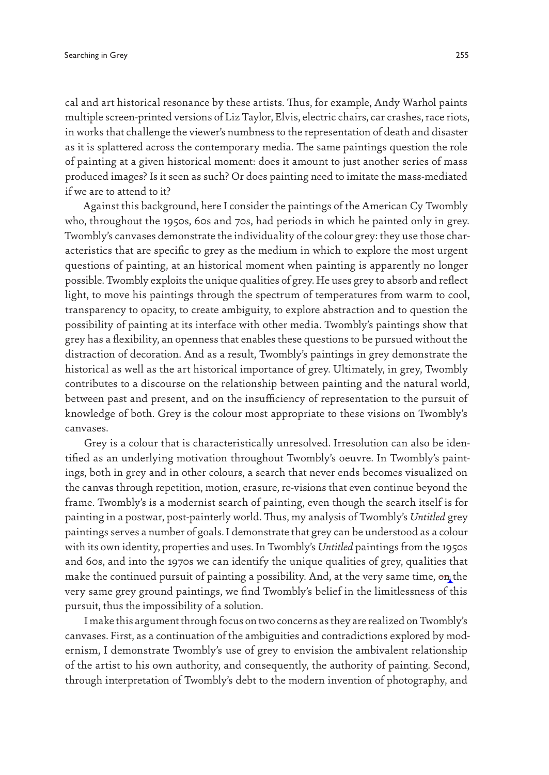cal and art historical resonance by these artists. Thus, for example, Andy Warhol paints multiple screen-printed versions of Liz Taylor, Elvis, electric chairs, car crashes, race riots, in works that challenge the viewer's numbness to the representation of death and disaster as it is splattered across the contemporary media. The same paintings question the role of painting at a given historical moment: does it amount to just another series of mass produced images? Is it seen as such? Or does painting need to imitate the mass-mediated if we are to attend to it?

Against this background, here I consider the paintings of the American Cy Twombly who, throughout the 1950s, 60s and 70s, had periods in which he painted only in grey. Twombly's canvases demonstrate the individuality of the colour grey: they use those characteristics that are specific to grey as the medium in which to explore the most urgent questions of painting, at an historical moment when painting is apparently no longer possible. Twombly exploits the unique qualities of grey. He uses grey to absorb and reflect light, to move his paintings through the spectrum of temperatures from warm to cool, transparency to opacity, to create ambiguity, to explore abstraction and to question the possibility of painting at its interface with other media. Twombly's paintings show that grey has a flexibility, an openness that enables these questions to be pursued without the distraction of decoration. And as a result, Twombly's paintings in grey demonstrate the historical as well as the art historical importance of grey. Ultimately, in grey, Twombly contributes to a discourse on the relationship between painting and the natural world, between past and present, and on the insufficiency of representation to the pursuit of knowledge of both. Grey is the colour most appropriate to these visions on Twombly's canvases.

Grey is a colour that is characteristically unresolved. Irresolution can also be identified as an underlying motivation throughout Twombly's oeuvre. In Twombly's paintings, both in grey and in other colours, a search that never ends becomes visualized on the canvas through repetition, motion, erasure, re-visions that even continue beyond the frame. Twombly's is a modernist search of painting, even though the search itself is for painting in a postwar, post-painterly world. Thus, my analysis of Twombly's *Untitled* grey paintings serves a number of goals. I demonstrate that grey can be understood as a colour with its own identity, properties and uses. In Twombly's *Untitled* paintings from the 1950s and 60s, and into the 1970s we can identify the unique qualities of grey, qualities that make the continued pursuit of painting a possibility. And, at the very same time,  $\Theta_n$  the very same grey ground paintings, we find Twombly's belief in the limitlessness of this pursuit, thus the impossibility of a solution.

I make this argument through focus on two concerns as they are realized on Twombly's canvases. First, as a continuation of the ambiguities and contradictions explored by modernism, I demonstrate Twombly's use of grey to envision the ambivalent relationship of the artist to his own authority, and consequently, the authority of painting. Second, through interpretation of Twombly's debt to the modern invention of photography, and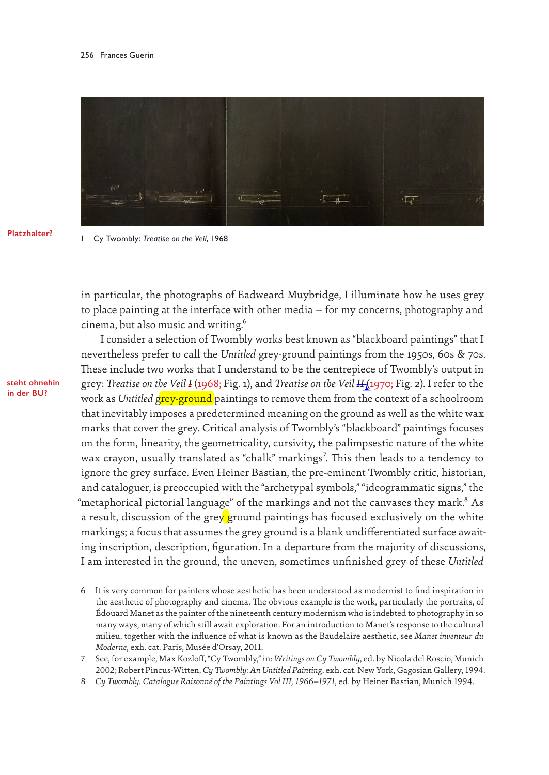

<sup>1</sup> Cy Twombly: *Treatise on the Veil*, 1968 **Platzhalter?**

in particular, the photographs of Eadweard Muybridge, I illuminate how he uses grey to place painting at the interface with other media – for my concerns, photography and cinema, but also music and writing.6

**steht ohnehin in der BU?**

I consider a selection of Twombly works best known as "blackboard paintings" that I nevertheless prefer to call the *Untitled* grey-ground paintings from the 1950s, 60s & 70s. These include two works that I understand to be the centrepiece of Twombly's output in grey: *Treatise on the Veil I* (1968; Fig. 1), and *Treatise on the Veil II* (1970; Fig. 2). I refer to the work as *Untitled* grey-ground paintings to remove them from the context of a schoolroom that inevitably imposes a predetermined meaning on the ground as well as the white wax marks that cover the grey. Critical analysis of Twombly's "blackboard" paintings focuses on the form, linearity, the geometricality, cursivity, the palimpsestic nature of the white wax crayon, usually translated as "chalk" markings<sup>7</sup>. This then leads to a tendency to ignore the grey surface. Even Heiner Bastian, the pre-eminent Twombly critic, historian, and cataloguer, is preoccupied with the "archetypal symbols," "ideogrammatic signs," the "metaphorical pictorial language" of the markings and not the canvases they mark. $^8$  As a result, discussion of the grey ground paintings has focused exclusively on the white markings; a focus that assumes the grey ground is a blank undifferentiated surface awaiting inscription, description, figuration. In a departure from the majority of discussions, I am interested in the ground, the uneven, sometimes unfinished grey of these *Untitled* 

- 6 It is very common for painters whose aesthetic has been understood as modernist to find inspiration in the aesthetic of photography and cinema. The obvious example is the work, particularly the portraits, of Édouard Manet as the painter of the nineteenth century modernism who is indebted to photography in so many ways, many of which still await exploration. For an introduction to Manet's response to the cultural milieu, together with the influence of what is known as the Baudelaire aesthetic, see *Manet inventeur du Moderne*, exh. cat. Paris, Musée d'Orsay, 2011.
- 7 See, for example, Max Kozloff, "Cy Twombly," in: *Writings on Cy Twombly*, ed. by Nicola del Roscio, Munich 2002; Robert Pincus-Witten, *Cy Twombly: An Untitled Painting*, exh. cat. New York, Gagosian Gallery, 1994.
- 8 *Cy Twombly. Catalogue Raisonné of the Paintings Vol III, 1966–1971*, ed. by Heiner Bastian, Munich 1994.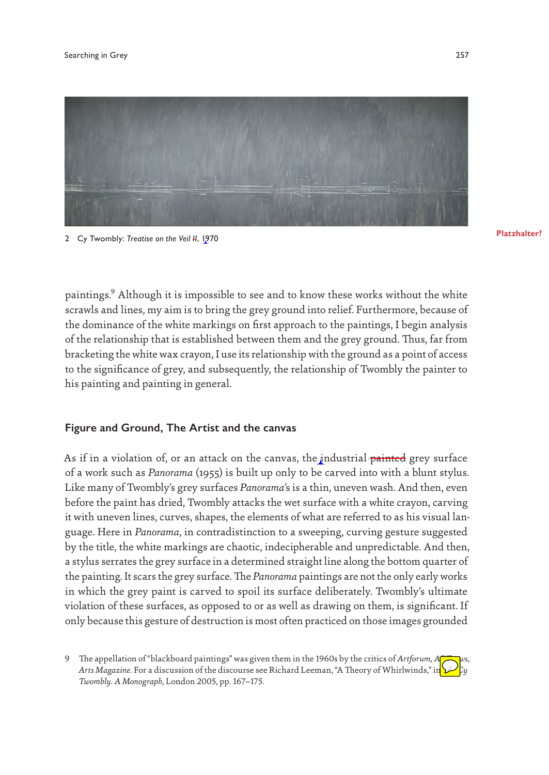

paintings.9 Although it is impossible to see and to know these works without the white scrawls and lines, my aim is to bring the grey ground into relief. Furthermore, because of the dominance of the white markings on first approach to the paintings, I begin analysis of the relationship that is established between them and the grey ground. Thus, far from bracketing the white wax crayon, I use its relationship with the ground as a point of access to the significance of grey, and subsequently, the relationship of Twombly the painter to his painting and painting in general.

#### **Figure and Ground, The Artist and the canvas**

As if in a violation of, or an attack on the canvas, the industrial painted grey surface of a work such as *Panorama* (1955) is built up only to be carved into with a blunt stylus. Like many of Twombly's grey surfaces *Panorama'*s is a thin, uneven wash. And then, even before the paint has dried, Twombly attacks the wet surface with a white crayon, carving it with uneven lines, curves, shapes, the elements of what are referred to as his visual language. Here in *Panorama*, in contradistinction to a sweeping, curving gesture suggested by the title, the white markings are chaotic, indecipherable and unpredictable. And then, a stylus serrates the grey surface in a determined straight line along the bottom quarter of the painting. It scars the grey surface. The *Panorama* paintings are not the only early works in which the grey paint is carved to spoil its surface deliberately. Twombly's ultimate violation of these surfaces, as opposed to or as well as drawing on them, is significant. If only because this gesture of destruction is most often practiced on those images grounded

<sup>9</sup> The appellation of "blackboard paintings" was given them in the 1960s by the critics of *Artforum*, *A Arts Magazine.* For a discussion of the discourse see Richard Leeman, "A Theory of Whirlwinds," in: *id*., *Cy Twombly. A Monograph*, London 2005, pp. 167–175.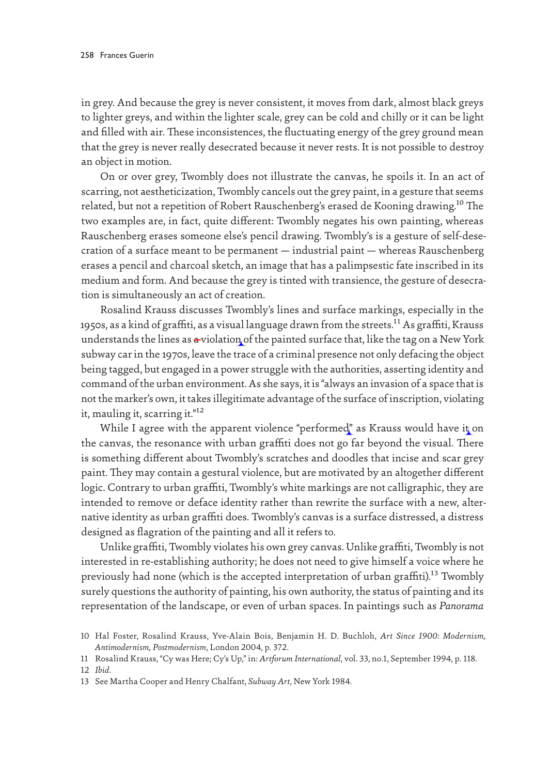in grey. And because the grey is never consistent, it moves from dark, almost black greys to lighter greys, and within the lighter scale, grey can be cold and chilly or it can be light and filled with air. These inconsistences, the fluctuating energy of the grey ground mean that the grey is never really desecrated because it never rests. It is not possible to destroy an object in motion.

On or over grey, Twombly does not illustrate the canvas, he spoils it. In an act of scarring, not aestheticization, Twombly cancels out the grey paint, in a gesture that seems related, but not a repetition of Robert Rauschenberg's erased de Kooning drawing.10 The two examples are, in fact, quite different: Twombly negates his own painting, whereas Rauschenberg erases someone else's pencil drawing. Twombly's is a gesture of self-desecration of a surface meant to be permanent — industrial paint — whereas Rauschenberg erases a pencil and charcoal sketch, an image that has a palimpsestic fate inscribed in its medium and form. And because the grey is tinted with transience, the gesture of desecration is simultaneously an act of creation.

Rosalind Krauss discusses Twombly's lines and surface markings, especially in the 1950s, as a kind of graffiti, as a visual language drawn from the streets.11 As graffiti, Krauss understands the lines as a violation of the painted surface that, like the tag on a New York subway car in the 1970s, leave the trace of a criminal presence not only defacing the object being tagged, but engaged in a power struggle with the authorities, asserting identity and command of the urban environment. As she says, it is "always an invasion of a space that is not the marker's own, it takes illegitimate advantage of the surface of inscription, violating it, mauling it, scarring it."<sup>12</sup>

While I agree with the apparent violence "performed" as Krauss would have it on the canvas, the resonance with urban graffiti does not go far beyond the visual. There is something different about Twombly's scratches and doodles that incise and scar grey paint. They may contain a gestural violence, but are motivated by an altogether different logic. Contrary to urban graffiti, Twombly's white markings are not calligraphic, they are intended to remove or deface identity rather than rewrite the surface with a new, alternative identity as urban graffiti does. Twombly's canvas is a surface distressed, a distress designed as flagration of the painting and all it refers to.

Unlike graffiti, Twombly violates his own grey canvas. Unlike graffiti, Twombly is not interested in re-establishing authority; he does not need to give himself a voice where he previously had none (which is the accepted interpretation of urban graffiti).13 Twombly surely questions the authority of painting, his own authority, the status of painting and its representation of the landscape, or even of urban spaces. In paintings such as *Panorama*

<sup>10</sup> Hal Foster, Rosalind Krauss, Yve-Alain Bois, Benjamin H. D. Buchloh, *Art Since 1900: Modernism, Antimodernism, Postmodernism*, London 2004, p. 372.

<sup>11</sup> Rosalind Krauss, "Cy was Here; Cy's Up," in: *Artforum International*, vol. 33, no.1, September 1994, p. 118.

<sup>12</sup> *Ibid*.

<sup>13</sup> See Martha Cooper and Henry Chalfant, *Subway Art*, New York 1984.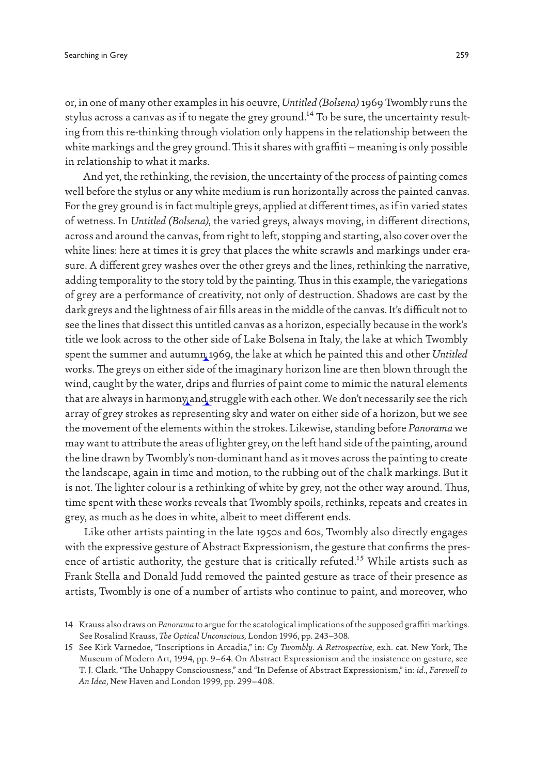or, in one of many other examples in his oeuvre, *Untitled (Bolsena)* 1969 Twombly runs the stylus across a canvas as if to negate the grey ground.<sup>14</sup> To be sure, the uncertainty resulting from this re-thinking through violation only happens in the relationship between the white markings and the grey ground. This it shares with graffiti – meaning is only possible in relationship to what it marks.

And yet, the rethinking, the revision, the uncertainty of the process of painting comes well before the stylus or any white medium is run horizontally across the painted canvas. For the grey ground is in fact multiple greys, applied at different times, as if in varied states of wetness. In *Untitled (Bolsena)*, the varied greys, always moving, in different directions, across and around the canvas, from right to left, stopping and starting, also cover over the white lines: here at times it is grey that places the white scrawls and markings under erasure. A different grey washes over the other greys and the lines, rethinking the narrative, adding temporality to the story told by the painting. Thus in this example, the variegations of grey are a performance of creativity, not only of destruction. Shadows are cast by the dark greys and the lightness of air fills areas in the middle of the canvas. It's difficult not to see the lines that dissect this untitled canvas as a horizon, especially because in the work's title we look across to the other side of Lake Bolsena in Italy, the lake at which Twombly spent the summer and autumn 1969, the lake at which he painted this and other *Untitled*  works. The greys on either side of the imaginary horizon line are then blown through the wind, caught by the water, drips and flurries of paint come to mimic the natural elements that are always in harmony and struggle with each other. We don't necessarily see the rich array of grey strokes as representing sky and water on either side of a horizon, but we see the movement of the elements within the strokes. Likewise, standing before *Panorama* we may want to attribute the areas of lighter grey, on the left hand side of the painting, around the line drawn by Twombly's non-dominant hand as it moves across the painting to create the landscape, again in time and motion, to the rubbing out of the chalk markings. But it is not. The lighter colour is a rethinking of white by grey, not the other way around. Thus, time spent with these works reveals that Twombly spoils, rethinks, repeats and creates in grey, as much as he does in white, albeit to meet different ends.

Like other artists painting in the late 1950s and 60s, Twombly also directly engages with the expressive gesture of Abstract Expressionism, the gesture that confirms the presence of artistic authority, the gesture that is critically refuted.<sup>15</sup> While artists such as Frank Stella and Donald Judd removed the painted gesture as trace of their presence as artists, Twombly is one of a number of artists who continue to paint, and moreover, who

<sup>14</sup> Krauss also draws on *Panorama* to argue for the scatological implications of the supposed graffiti markings. See Rosalind Krauss, *The Optical Unconscious,* London 1996, pp. 243–308.

<sup>15</sup> See Kirk Varnedoe, "Inscriptions in Arcadia," in: *Cy Twombly. A Retrospective*, exh. cat. New York, The Museum of Modern Art, 1994, pp. 9–64. On Abstract Expressionism and the insistence on gesture, see T. J. Clark, "The Unhappy Consciousness," and "In Defense of Abstract Expressionism," in: *id*., *Farewell to An Idea*, New Haven and London 1999, pp. 299–408.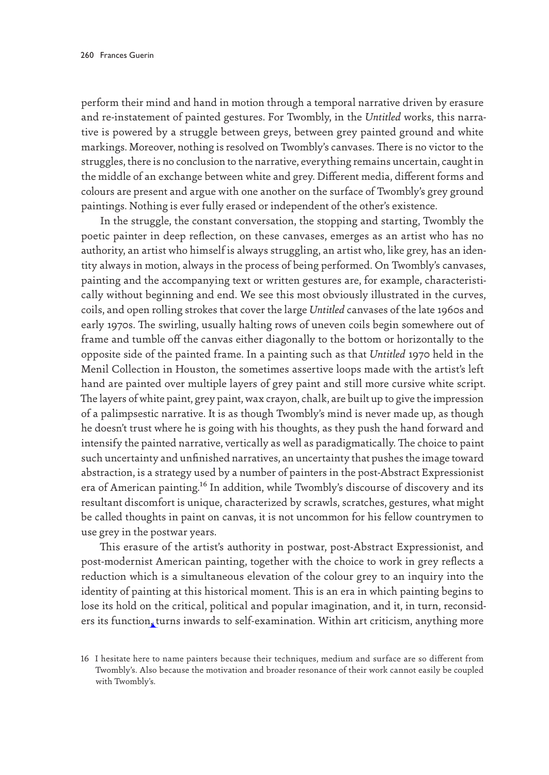perform their mind and hand in motion through a temporal narrative driven by erasure and re-instatement of painted gestures. For Twombly, in the *Untitled* works, this narrative is powered by a struggle between greys, between grey painted ground and white markings. Moreover, nothing is resolved on Twombly's canvases. There is no victor to the struggles, there is no conclusion to the narrative, everything remains uncertain, caught in the middle of an exchange between white and grey. Different media, different forms and colours are present and argue with one another on the surface of Twombly's grey ground paintings. Nothing is ever fully erased or independent of the other's existence.

In the struggle, the constant conversation, the stopping and starting, Twombly the poetic painter in deep reflection, on these canvases, emerges as an artist who has no authority, an artist who himself is always struggling, an artist who, like grey, has an identity always in motion, always in the process of being performed. On Twombly's canvases, painting and the accompanying text or written gestures are, for example, characteristically without beginning and end. We see this most obviously illustrated in the curves, coils, and open rolling strokes that cover the large *Untitled* canvases of the late 1960s and early 1970s. The swirling, usually halting rows of uneven coils begin somewhere out of frame and tumble off the canvas either diagonally to the bottom or horizontally to the opposite side of the painted frame. In a painting such as that *Untitled* 1970 held in the Menil Collection in Houston, the sometimes assertive loops made with the artist's left hand are painted over multiple layers of grey paint and still more cursive white script. The layers of white paint, grey paint, wax crayon, chalk, are built up to give the impression of a palimpsestic narrative. It is as though Twombly's mind is never made up, as though he doesn't trust where he is going with his thoughts, as they push the hand forward and intensify the painted narrative, vertically as well as paradigmatically. The choice to paint such uncertainty and unfinished narratives, an uncertainty that pushes the image toward abstraction, is a strategy used by a number of painters in the post-Abstract Expressionist era of American painting.16 In addition, while Twombly's discourse of discovery and its resultant discomfort is unique, characterized by scrawls, scratches, gestures, what might be called thoughts in paint on canvas, it is not uncommon for his fellow countrymen to use grey in the postwar years.

This erasure of the artist's authority in postwar, post-Abstract Expressionist, and post-modernist American painting, together with the choice to work in grey reflects a reduction which is a simultaneous elevation of the colour grey to an inquiry into the identity of painting at this historical moment. This is an era in which painting begins to lose its hold on the critical, political and popular imagination, and it, in turn, reconsiders its function, turns inwards to self-examination. Within art criticism, anything more

<sup>16</sup> I hesitate here to name painters because their techniques, medium and surface are so different from Twombly's. Also because the motivation and broader resonance of their work cannot easily be coupled with Twombly's.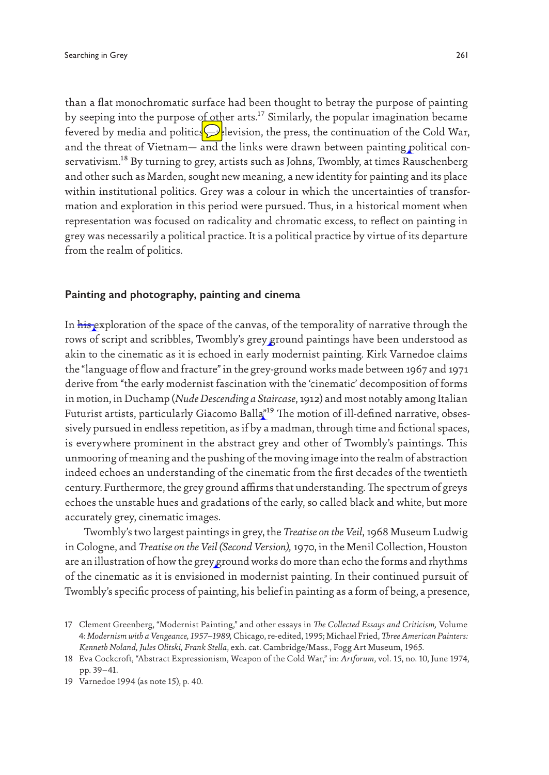Searching in Grey 261

than a flat monochromatic surface had been thought to betray the purpose of painting by seeping into the purpose of other arts.<sup>17</sup> Similarly, the popular imagination became fevered by media and politics  $\bigcup$  levision, the press, the continuation of the Cold War, and the threat of Vietnam— and the links were drawn between painting political conservativism.<sup>18</sup> By turning to grey, artists such as Johns, Twombly, at times Rauschenberg and other such as Marden, sought new meaning, a new identity for painting and its place within institutional politics. Grey was a colour in which the uncertainties of transformation and exploration in this period were pursued. Thus, in a historical moment when representation was focused on radicality and chromatic excess, to reflect on painting in grey was necessarily a political practice. It is a political practice by virtue of its departure from the realm of politics.

#### **Painting and photography, painting and cinema**

In his exploration of the space of the canvas, of the temporality of narrative through the rows of script and scribbles, Twombly's grey ground paintings have been understood as akin to the cinematic as it is echoed in early modernist painting. Kirk Varnedoe claims the "language of flow and fracture" in the grey-ground works made between 1967 and 1971 derive from "the early modernist fascination with the 'cinematic' decomposition of forms in motion, in Duchamp (*Nude Descending a Staircase*, 1912) and most notably among Italian Futurist artists, particularly Giacomo Balla<sup>"19</sup> The motion of ill-defined narrative, obsessively pursued in endless repetition, as if by a madman, through time and fictional spaces, is everywhere prominent in the abstract grey and other of Twombly's paintings. This unmooring of meaning and the pushing of the moving image into the realm of abstraction indeed echoes an understanding of the cinematic from the first decades of the twentieth century. Furthermore, the grey ground affirms that understanding. The spectrum of greys echoes the unstable hues and gradations of the early, so called black and white, but more accurately grey, cinematic images.

Twombly's two largest paintings in grey, the *Treatise on the Veil*, 1968 Museum Ludwig in Cologne, and *Treatise on the Veil (Second Version),* 1970, in the Menil Collection, Houston are an illustration of how the grey ground works do more than echo the forms and rhythms of the cinematic as it is envisioned in modernist painting. In their continued pursuit of Twombly's specific process of painting, his belief in painting as a form of being, a presence,

<sup>17</sup> Clement Greenberg, "Modernist Painting," and other essays in *The Collected Essays and Criticism,* Volume 4: *Modernism with a Vengeance, 1957–1989,* Chicago, re-edited, 1995; Michael Fried, *Three American Painters: Kenneth Noland, Jules Olitski, Frank Stella*, exh. cat. Cambridge/Mass., Fogg Art Museum, 1965.

<sup>18</sup> Eva Cockcroft, "Abstract Expressionism, Weapon of the Cold War," in: *Artforum*, vol. 15, no. 10, June 1974, pp. 39–41.

<sup>19</sup> Varnedoe 1994 (as note 15), p. 40.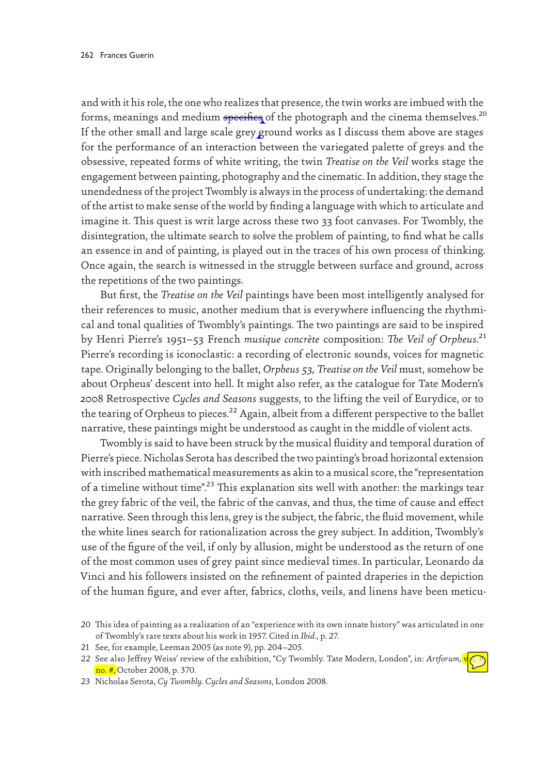and with it his role, the one who realizes that presence, the twin works are imbued with the forms, meanings and medium specifics of the photograph and the cinema themselves.<sup>20</sup> If the other small and large scale grey ground works as I discuss them above are stages for the performance of an interaction between the variegated palette of greys and the obsessive, repeated forms of white writing, the twin *Treatise on the Veil* works stage the engagement between painting, photography and the cinematic. In addition, they stage the unendedness of the project Twombly is always in the process of undertaking: the demand of the artist to make sense of the world by finding a language with which to articulate and imagine it. This quest is writ large across these two 33 foot canvases. For Twombly, the disintegration, the ultimate search to solve the problem of painting, to find what he calls an essence in and of painting, is played out in the traces of his own process of thinking. Once again, the search is witnessed in the struggle between surface and ground, across the repetitions of the two paintings.

But first, the *Treatise on the Veil* paintings have been most intelligently analysed for their references to music, another medium that is everywhere influencing the rhythmical and tonal qualities of Twombly's paintings. The two paintings are said to be inspired by Henri Pierre's 1951–53 French *musique concrète* composition: *The Veil of Orpheus*.21 Pierre's recording is iconoclastic: a recording of electronic sounds, voices for magnetic tape. Originally belonging to the ballet, *Orpheus 53, Treatise on the Veil* must, somehow be about Orpheus' descent into hell. It might also refer, as the catalogue for Tate Modern's 2008 Retrospective *Cycles and Seasons* suggests, to the lifting the veil of Eurydice, or to the tearing of Orpheus to pieces.<sup>22</sup> Again, albeit from a different perspective to the ballet narrative, these paintings might be understood as caught in the middle of violent acts.

Twombly is said to have been struck by the musical fluidity and temporal duration of Pierre's piece. Nicholas Serota has described the two painting's broad horizontal extension with inscribed mathematical measurements as akin to a musical score, the "representation of a timeline without time".<sup>23</sup> This explanation sits well with another: the markings tear the grey fabric of the veil, the fabric of the canvas, and thus, the time of cause and effect narrative. Seen through this lens, grey is the subject, the fabric, the fluid movement, while the white lines search for rationalization across the grey subject. In addition, Twombly's use of the figure of the veil, if only by allusion, might be understood as the return of one of the most common uses of grey paint since medieval times. In particular, Leonardo da Vinci and his followers insisted on the refinement of painted draperies in the depiction of the human figure, and ever after, fabrics, cloths, veils, and linens have been meticu-

<sup>20</sup> This idea of painting as a realization of an "experience with its own innate history" was articulated in one of Twombly's rare texts about his work in 1957. Cited in *Ibid*., p. 27.

<sup>21</sup> See, for example, Leeman 2005 (as note 9), pp. 204–205.

<sup>22</sup> See also Jeffrey Weiss' review of the exhibition, "Cy Twombly. Tate Modern, London", in: *Artforum,* v<sub>(1.</sub> # no. #, October 2008, p. 370.

<sup>23</sup> Nicholas Serota, *Cy Twombly. Cycles and Seasons*, London 2008.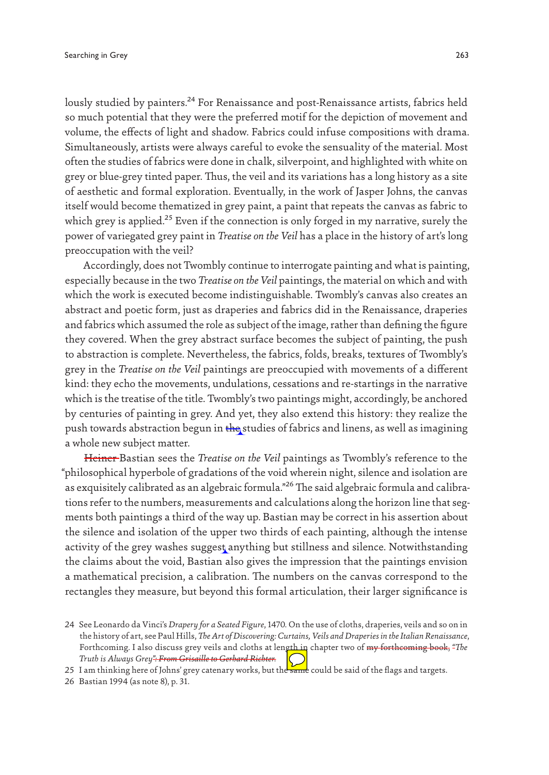lously studied by painters.<sup>24</sup> For Renaissance and post-Renaissance artists, fabrics held so much potential that they were the preferred motif for the depiction of movement and volume, the effects of light and shadow. Fabrics could infuse compositions with drama. Simultaneously, artists were always careful to evoke the sensuality of the material. Most often the studies of fabrics were done in chalk, silverpoint, and highlighted with white on grey or blue-grey tinted paper. Thus, the veil and its variations has a long history as a site of aesthetic and formal exploration. Eventually, in the work of Jasper Johns, the canvas itself would become thematized in grey paint, a paint that repeats the canvas as fabric to which grey is applied.<sup>25</sup> Even if the connection is only forged in my narrative, surely the power of variegated grey paint in *Treatise on the Veil* has a place in the history of art's long preoccupation with the veil?

Accordingly, does not Twombly continue to interrogate painting and what is painting, especially because in the two *Treatise on the Veil* paintings, the material on which and with which the work is executed become indistinguishable. Twombly's canvas also creates an abstract and poetic form, just as draperies and fabrics did in the Renaissance, draperies and fabrics which assumed the role as subject of the image, rather than defining the figure they covered. When the grey abstract surface becomes the subject of painting, the push to abstraction is complete. Nevertheless, the fabrics, folds, breaks, textures of Twombly's grey in the *Treatise on the Veil* paintings are preoccupied with movements of a different kind: they echo the movements, undulations, cessations and re-startings in the narrative which is the treatise of the title. Twombly's two paintings might, accordingly, be anchored by centuries of painting in grey. And yet, they also extend this history: they realize the push towards abstraction begun in the studies of fabrics and linens, as well as imagining a whole new subject matter.

Heiner Bastian sees the *Treatise on the Veil* paintings as Twombly's reference to the "philosophical hyperbole of gradations of the void wherein night, silence and isolation are as exquisitely calibrated as an algebraic formula."<sup>26</sup> The said algebraic formula and calibrations refer to the numbers, measurements and calculations along the horizon line that segments both paintings a third of the way up. Bastian may be correct in his assertion about the silence and isolation of the upper two thirds of each painting, although the intense activity of the grey washes suggest anything but stillness and silence. Notwithstanding the claims about the void, Bastian also gives the impression that the paintings envision a mathematical precision, a calibration. The numbers on the canvas correspond to the rectangles they measure, but beyond this formal articulation, their larger significance is

<sup>24</sup> See Leonardo da Vinci's *Drapery for a Seated Figure*, 1470*.* On the use of cloths, draperies, veils and so on in the history of art, see Paul Hills, *The Art of Discovering: Curtains, Veils and Draperies in the Italian Renaissance*, Forthcoming. I also discuss grey veils and cloths at length in chapter two of my forthcoming book, *"The Truth is Always Grey": From Grisaille to Gerhard Richter*.

<sup>25</sup> I am thinking here of Johns' grey catenary works, but the same could be said of the flags and targets.

<sup>26</sup> Bastian 1994 (as note 8), p. 31.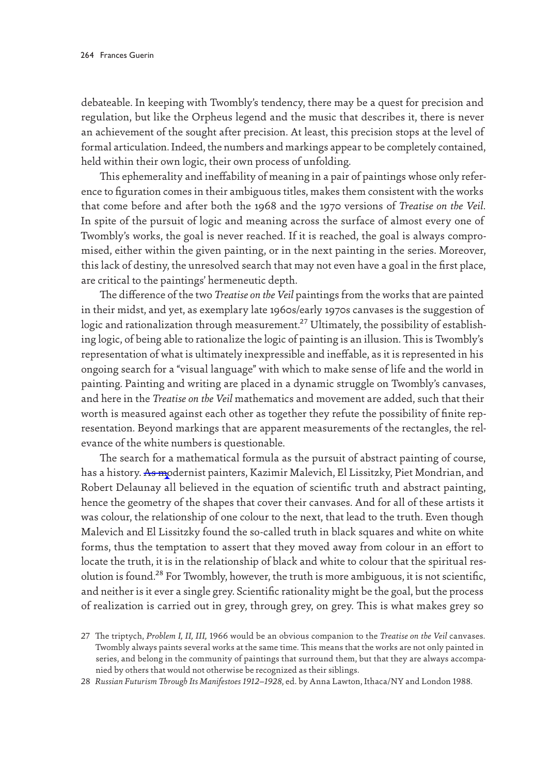debateable. In keeping with Twombly's tendency, there may be a quest for precision and regulation, but like the Orpheus legend and the music that describes it, there is never an achievement of the sought after precision. At least, this precision stops at the level of formal articulation. Indeed, the numbers and markings appear to be completely contained, held within their own logic, their own process of unfolding.

This ephemerality and ineffability of meaning in a pair of paintings whose only reference to figuration comes in their ambiguous titles, makes them consistent with the works that come before and after both the 1968 and the 1970 versions of *Treatise on the Veil*. In spite of the pursuit of logic and meaning across the surface of almost every one of Twombly's works, the goal is never reached. If it is reached, the goal is always compromised, either within the given painting, or in the next painting in the series. Moreover, this lack of destiny, the unresolved search that may not even have a goal in the first place, are critical to the paintings' hermeneutic depth.

The difference of the two *Treatise on the Veil* paintings from the works that are painted in their midst, and yet, as exemplary late 1960s/early 1970s canvases is the suggestion of logic and rationalization through measurement.<sup>27</sup> Ultimately, the possibility of establishing logic, of being able to rationalize the logic of painting is an illusion. This is Twombly's representation of what is ultimately inexpressible and ineffable, as it is represented in his ongoing search for a "visual language" with which to make sense of life and the world in painting. Painting and writing are placed in a dynamic struggle on Twombly's canvases, and here in the *Treatise on the Veil* mathematics and movement are added, such that their worth is measured against each other as together they refute the possibility of finite representation. Beyond markings that are apparent measurements of the rectangles, the relevance of the white numbers is questionable.

The search for a mathematical formula as the pursuit of abstract painting of course, has a history. As modernist painters, Kazimir Malevich, El Lissitzky, Piet Mondrian, and Robert Delaunay all believed in the equation of scientific truth and abstract painting, hence the geometry of the shapes that cover their canvases. And for all of these artists it was colour, the relationship of one colour to the next, that lead to the truth. Even though Malevich and El Lissitzky found the so-called truth in black squares and white on white forms, thus the temptation to assert that they moved away from colour in an effort to locate the truth, it is in the relationship of black and white to colour that the spiritual resolution is found.28 For Twombly, however, the truth is more ambiguous, it is not scientific, and neither is it ever a single grey. Scientific rationality might be the goal, but the process of realization is carried out in grey, through grey, on grey. This is what makes grey so

<sup>27</sup> The triptych, *Problem I, II, III,* 1966 would be an obvious companion to the *Treatise on the Veil* canvases. Twombly always paints several works at the same time. This means that the works are not only painted in series, and belong in the community of paintings that surround them, but that they are always accompanied by others that would not otherwise be recognized as their siblings.

<sup>28</sup> *Russian Futurism Through Its Manifestoes 1912–1928*, ed. by Anna Lawton, Ithaca/NY and London 1988.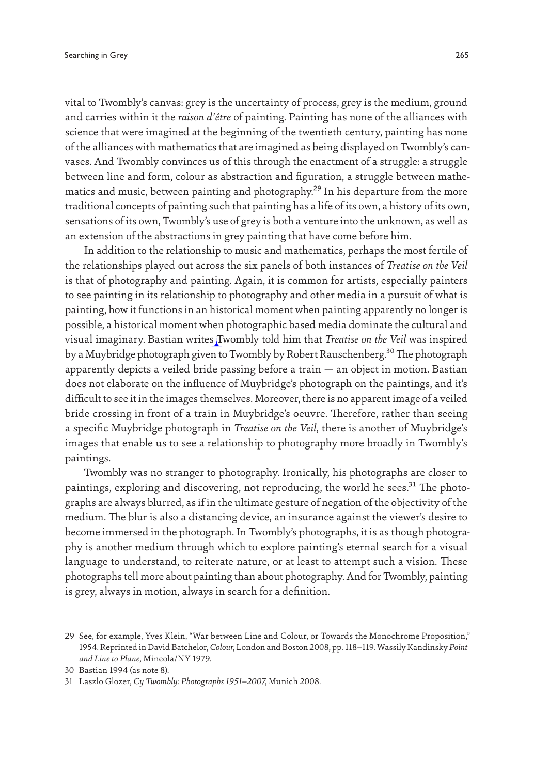vital to Twombly's canvas: grey is the uncertainty of process, grey is the medium, ground and carries within it the *raison d'être* of painting. Painting has none of the alliances with science that were imagined at the beginning of the twentieth century, painting has none of the alliances with mathematics that are imagined as being displayed on Twombly's canvases. And Twombly convinces us of this through the enactment of a struggle: a struggle between line and form, colour as abstraction and figuration, a struggle between mathematics and music, between painting and photography.29 In his departure from the more traditional concepts of painting such that painting has a life of its own, a history of its own, sensations of its own, Twombly's use of grey is both a venture into the unknown, as well as an extension of the abstractions in grey painting that have come before him.

In addition to the relationship to music and mathematics, perhaps the most fertile of the relationships played out across the six panels of both instances of *Treatise on the Veil* is that of photography and painting. Again, it is common for artists, especially painters to see painting in its relationship to photography and other media in a pursuit of what is painting, how it functions in an historical moment when painting apparently no longer is possible, a historical moment when photographic based media dominate the cultural and visual imaginary. Bastian writes Twombly told him that *Treatise on the Veil* was inspired by a Muybridge photograph given to Twombly by Robert Rauschenberg.<sup>30</sup> The photograph apparently depicts a veiled bride passing before a train — an object in motion. Bastian does not elaborate on the influence of Muybridge's photograph on the paintings, and it's difficult to see it in the images themselves. Moreover, there is no apparent image of a veiled bride crossing in front of a train in Muybridge's oeuvre. Therefore, rather than seeing a specific Muybridge photograph in *Treatise on the Veil*, there is another of Muybridge's images that enable us to see a relationship to photography more broadly in Twombly's paintings.

Twombly was no stranger to photography. Ironically, his photographs are closer to paintings, exploring and discovering, not reproducing, the world he sees. $31$  The photographs are always blurred, as if in the ultimate gesture of negation of the objectivity of the medium. The blur is also a distancing device, an insurance against the viewer's desire to become immersed in the photograph. In Twombly's photographs, it is as though photography is another medium through which to explore painting's eternal search for a visual language to understand, to reiterate nature, or at least to attempt such a vision. These photographs tell more about painting than about photography. And for Twombly, painting is grey, always in motion, always in search for a definition.

<sup>29</sup> See, for example, Yves Klein, "War between Line and Colour, or Towards the Monochrome Proposition," 1954. Reprinted in David Batchelor, *Colour*, London and Boston 2008, pp. 118–119. Wassily Kandinsky *Point and Line to Plane*, Mineola/NY 1979.

<sup>30</sup> Bastian 1994 (as note 8)*.* 

<sup>31</sup> Laszlo Glozer, *Cy Twombly: Photographs 1951–2007*, Munich 2008.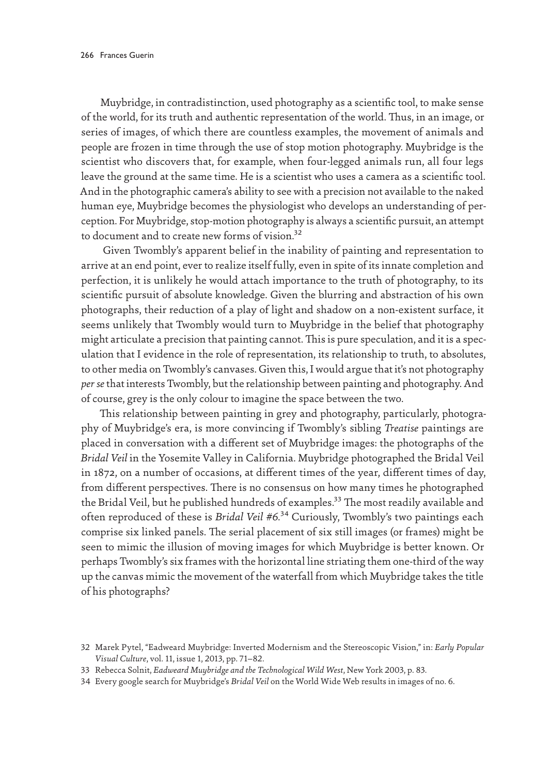Muybridge, in contradistinction, used photography as a scientific tool, to make sense of the world, for its truth and authentic representation of the world. Thus, in an image, or series of images, of which there are countless examples, the movement of animals and people are frozen in time through the use of stop motion photography. Muybridge is the scientist who discovers that, for example, when four-legged animals run, all four legs leave the ground at the same time. He is a scientist who uses a camera as a scientific tool. And in the photographic camera's ability to see with a precision not available to the naked human eye, Muybridge becomes the physiologist who develops an understanding of perception. For Muybridge, stop-motion photography is always a scientific pursuit, an attempt to document and to create new forms of vision.<sup>32</sup>

 Given Twombly's apparent belief in the inability of painting and representation to arrive at an end point, ever to realize itself fully, even in spite of its innate completion and perfection, it is unlikely he would attach importance to the truth of photography, to its scientific pursuit of absolute knowledge. Given the blurring and abstraction of his own photographs, their reduction of a play of light and shadow on a non-existent surface, it seems unlikely that Twombly would turn to Muybridge in the belief that photography might articulate a precision that painting cannot. This is pure speculation, and it is a speculation that I evidence in the role of representation, its relationship to truth, to absolutes, to other media on Twombly's canvases. Given this, I would argue that it's not photography *per se* that interests Twombly, but the relationship between painting and photography. And of course, grey is the only colour to imagine the space between the two.

This relationship between painting in grey and photography, particularly, photography of Muybridge's era, is more convincing if Twombly's sibling *Treatise* paintings are placed in conversation with a different set of Muybridge images: the photographs of the *Bridal Veil* in the Yosemite Valley in California. Muybridge photographed the Bridal Veil in 1872, on a number of occasions, at different times of the year, different times of day, from different perspectives. There is no consensus on how many times he photographed the Bridal Veil, but he published hundreds of examples.<sup>33</sup> The most readily available and often reproduced of these is *Bridal Veil #6.*34 Curiously, Twombly's two paintings each comprise six linked panels. The serial placement of six still images (or frames) might be seen to mimic the illusion of moving images for which Muybridge is better known. Or perhaps Twombly's six frames with the horizontal line striating them one-third of the way up the canvas mimic the movement of the waterfall from which Muybridge takes the title of his photographs?

<sup>32</sup> Marek Pytel, "Eadweard Muybridge: Inverted Modernism and the Stereoscopic Vision," in: *Early Popular Visual Culture*, vol. 11, issue 1, 2013, pp. 71–82.

<sup>33</sup> Rebecca Solnit, *Eadweard Muybridge and the Technological Wild West*, New York 2003, p. 83.

<sup>34</sup> Every google search for Muybridge's *Bridal Veil* on the World Wide Web results in images of no. 6.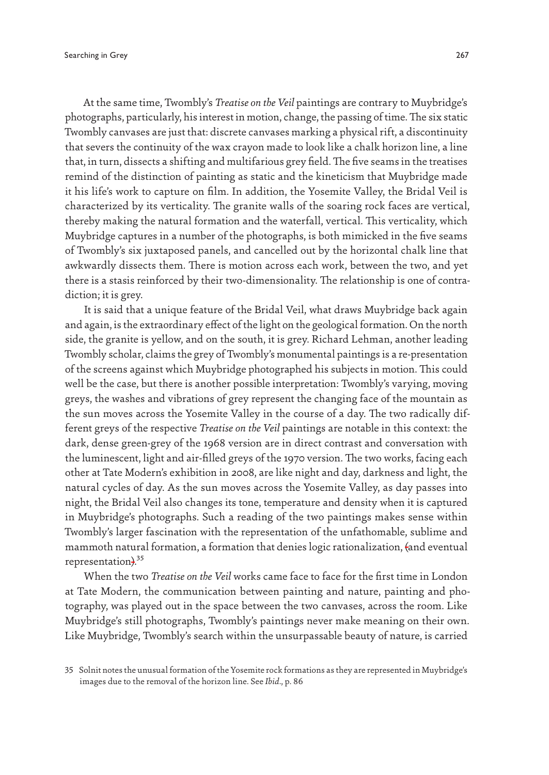At the same time, Twombly's *Treatise on the Veil* paintings are contrary to Muybridge's photographs, particularly, his interest in motion, change, the passing of time. The six static Twombly canvases are just that: discrete canvases marking a physical rift, a discontinuity that severs the continuity of the wax crayon made to look like a chalk horizon line, a line that, in turn, dissects a shifting and multifarious grey field. The five seams in the treatises remind of the distinction of painting as static and the kineticism that Muybridge made it his life's work to capture on film. In addition, the Yosemite Valley, the Bridal Veil is characterized by its verticality. The granite walls of the soaring rock faces are vertical, thereby making the natural formation and the waterfall, vertical. This verticality, which Muybridge captures in a number of the photographs, is both mimicked in the five seams of Twombly's six juxtaposed panels, and cancelled out by the horizontal chalk line that awkwardly dissects them. There is motion across each work, between the two, and yet there is a stasis reinforced by their two-dimensionality. The relationship is one of contradiction; it is grey.

It is said that a unique feature of the Bridal Veil, what draws Muybridge back again and again, is the extraordinary effect of the light on the geological formation. On the north side, the granite is yellow, and on the south, it is grey. Richard Lehman, another leading Twombly scholar, claims the grey of Twombly's monumental paintings is a re-presentation of the screens against which Muybridge photographed his subjects in motion. This could well be the case, but there is another possible interpretation: Twombly's varying, moving greys, the washes and vibrations of grey represent the changing face of the mountain as the sun moves across the Yosemite Valley in the course of a day. The two radically different greys of the respective *Treatise on the Veil* paintings are notable in this context: the dark, dense green-grey of the 1968 version are in direct contrast and conversation with the luminescent, light and air-filled greys of the 1970 version. The two works, facing each other at Tate Modern's exhibition in 2008, are like night and day, darkness and light, the natural cycles of day. As the sun moves across the Yosemite Valley, as day passes into night, the Bridal Veil also changes its tone, temperature and density when it is captured in Muybridge's photographs. Such a reading of the two paintings makes sense within Twombly's larger fascination with the representation of the unfathomable, sublime and mammoth natural formation, a formation that denies logic rationalization, (and eventual representation).<sup>35</sup>

When the two *Treatise on the Veil* works came face to face for the first time in London at Tate Modern, the communication between painting and nature, painting and photography, was played out in the space between the two canvases, across the room. Like Muybridge's still photographs, Twombly's paintings never make meaning on their own. Like Muybridge, Twombly's search within the unsurpassable beauty of nature, is carried

<sup>35</sup> Solnit notes the unusual formation of the Yosemite rock formations as they are represented in Muybridge's images due to the removal of the horizon line. See *Ibid*., p. 86